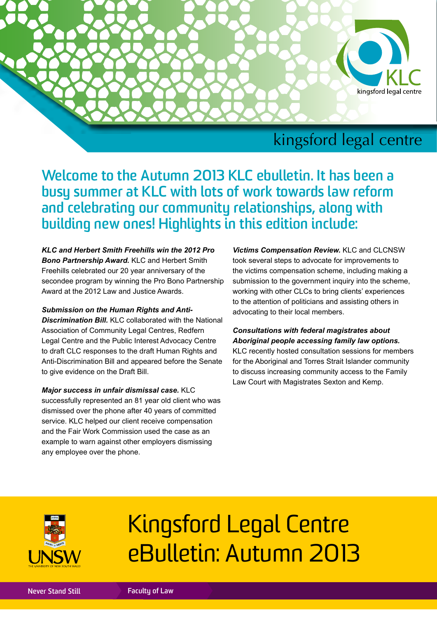

## kingsford legal centre

**Welcome to the Autumn 2013 KLC ebulletin. It has been a busy summer at KLC with lots of work towards law reform and celebrating our community relationships, along with building new ones! Highlights in this edition include:**

*KLC and Herbert Smith Freehills win the 2012 Pro Bono Partnership Award.* KLC and Herbert Smith Freehills celebrated our 20 year anniversary of the secondee program by winning the Pro Bono Partnership Award at the 2012 Law and Justice Awards.

#### *Submission on the Human Rights and Anti-*

*Discrimination Bill.* KLC collaborated with the National Association of Community Legal Centres, Redfern Legal Centre and the Public Interest Advocacy Centre to draft CLC responses to the draft Human Rights and Anti-Discrimination Bill and appeared before the Senate to give evidence on the Draft Bill.

*Major success in unfair dismissal case.* KLC successfully represented an 81 year old client who was dismissed over the phone after 40 years of committed service. KLC helped our client receive compensation and the Fair Work Commission used the case as an example to warn against other employers dismissing any employee over the phone.

*Victims Compensation Review.* KLC and CLCNSW took several steps to advocate for improvements to the victims compensation scheme, including making a submission to the government inquiry into the scheme, working with other CLCs to bring clients' experiences to the attention of politicians and assisting others in advocating to their local members.

### *Consultations with federal magistrates about Aboriginal people accessing family law options.*

KLC recently hosted consultation sessions for members for the Aboriginal and Torres Strait Islander community to discuss increasing community access to the Family Law Court with Magistrates Sexton and Kemp.



# Kingsford Legal Centre eBulletin: Autumn 2013

**Never Stand Still Faculty of Law**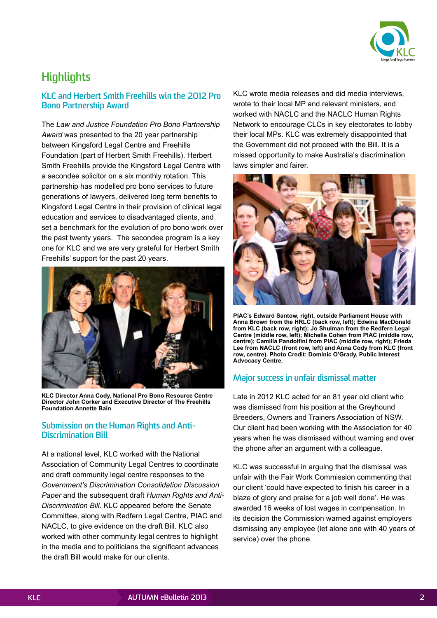

### **Highlights**

### **KLC and Herbert Smith Freehills win the 2012 Pro Bono Partnership Award**

The *Law and Justice Foundation Pro Bono Partnership Award* was presented to the 20 year partnership between Kingsford Legal Centre and Freehills Foundation (part of Herbert Smith Freehills). Herbert Smith Freehills provide the Kingsford Legal Centre with a secondee solicitor on a six monthly rotation. This partnership has modelled pro bono services to future generations of lawyers, delivered long term benefits to Kingsford Legal Centre in their provision of clinical legal education and services to disadvantaged clients, and set a benchmark for the evolution of pro bono work over the past twenty years. The secondee program is a key one for KLC and we are very grateful for Herbert Smith Freehills' support for the past 20 years.



**KLC Director Anna Cody, National Pro Bono Resource Centre Director John Corker and Executive Director of The Freehills Foundation Annette Bain**

### **Submission on the Human Rights and Anti-Discrimination Bill**

At a national level, KLC worked with the National Association of Community Legal Centres to coordinate and draft community legal centre responses to the *Government's Discrimination Consolidation Discussion Paper* and the subsequent draft *Human Rights and Anti-Discrimination Bill*. KLC appeared before the Senate Committee, along with Redfern Legal Centre, PIAC and NACLC, to give evidence on the draft Bill. KLC also worked with other community legal centres to highlight in the media and to politicians the significant advances the draft Bill would make for our clients.

KLC wrote media releases and did media interviews, wrote to their local MP and relevant ministers, and worked with NACLC and the NACLC Human Rights Network to encourage CLCs in key electorates to lobby their local MPs. KLC was extremely disappointed that the Government did not proceed with the Bill. It is a missed opportunity to make Australia's discrimination laws simpler and fairer.



**PIAC's Edward Santow, right, outside Parliament House with Anna Brown from the HRLC (back row, left); Edwina MacDonald from KLC (back row, right); Jo Shulman from the Redfern Legal Centre (middle row, left); Michelle Cohen from PIAC (middle row, centre); Camilla Pandolfini from PIAC (middle row, right); Frieda Lee from NACLC (front row, left) and Anna Cody from KLC (front row, centre). Photo Credit: Dominic O'Grady, Public Interest Advocacy Centre.**

### **Major success in unfair dismissal matter**

Late in 2012 KLC acted for an 81 year old client who was dismissed from his position at the Greyhound Breeders, Owners and Trainers Association of NSW. Our client had been working with the Association for 40 years when he was dismissed without warning and over the phone after an argument with a colleague.

KLC was successful in arguing that the dismissal was unfair with the Fair Work Commission commenting that our client 'could have expected to finish his career in a blaze of glory and praise for a job well done'. He was awarded 16 weeks of lost wages in compensation. In its decision the Commission warned against employers dismissing any employee (let alone one with 40 years of service) over the phone.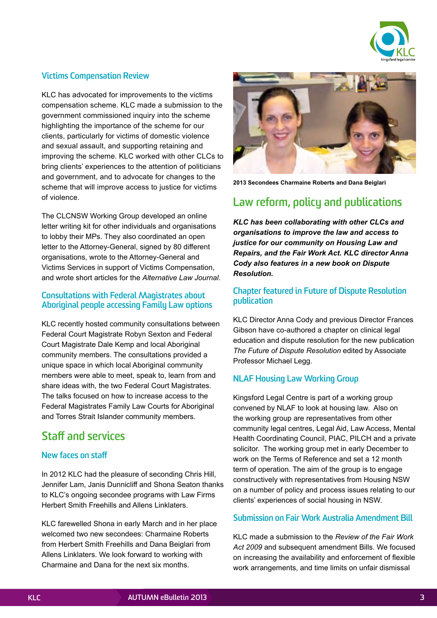

### **Victims Compensation Review**

KLC has advocated for improvements to the victims compensation scheme. KLC made a submission to the government commissioned inquiry into the scheme highlighting the importance of the scheme for our clients, particularly for victims of domestic violence and sexual assault, and supporting retaining and improving the scheme. KLC worked with other CLCs to bring clients' experiences to the attention of politicians and government, and to advocate for changes to the scheme that will improve access to justice for victims of violence.

The CLCNSW Working Group developed an online letter writing kit for other individuals and organisations to lobby their MPs. They also coordinated an open letter to the Attorney-General, signed by 80 different organisations, wrote to the Attorney-General and Victims Services in support of Victims Compensation, and wrote short articles for the *Alternative Law Journal*.

### **Consultations with Federal Magistrates about Aboriginal people accessing Family Law options**

KLC recently hosted community consultations between Federal Court Magistrate Robyn Sexton and Federal Court Magistrate Dale Kemp and local Aboriginal community members. The consultations provided a unique space in which local Aboriginal community members were able to meet, speak to, learn from and share ideas with, the two Federal Court Magistrates. The talks focused on how to increase access to the Federal Magistrates Family Law Courts for Aboriginal and Torres Strait Islander community members.

### **Staff and services**

### **New faces on staff**

In 2012 KLC had the pleasure of seconding Chris Hill, Jennifer Lam, Janis Dunnicliff and Shona Seaton thanks to KLC's ongoing secondee programs with Law Firms Herbert Smith Freehills and Allens Linklaters.

KLC farewelled Shona in early March and in her place welcomed two new secondees: Charmaine Roberts from Herbert Smith Freehills and Dana Beiglari from Allens Linklaters. We look forward to working with Charmaine and Dana for the next six months.



**2013 Secondees Charmaine Roberts and Dana Beiglari**

### **Law reform, policy and publications**

*KLC has been collaborating with other CLCs and organisations to improve the law and access to justice for our community on Housing Law and Repairs, and the Fair Work Act. KLC director Anna Cody also features in a new book on Dispute Resolution.*

### **Chapter featured in Future of Dispute Resolution publication**

KLC Director Anna Cody and previous Director Frances Gibson have co-authored a chapter on clinical legal education and dispute resolution for the new publication *The Future of Dispute Resolution* edited by Associate Professor Michael Legg.

### **NLAF Housing Law Working Group**

Kingsford Legal Centre is part of a working group convened by NLAF to look at housing law. Also on the working group are representatives from other community legal centres, Legal Aid, Law Access, Mental Health Coordinating Council, PIAC, PILCH and a private solicitor. The working group met in early December to work on the Terms of Reference and set a 12 month term of operation. The aim of the group is to engage constructively with representatives from Housing NSW on a number of policy and process issues relating to our clients' experiences of social housing in NSW.

### **Submission on Fair Work Australia Amendment Bill**

KLC made a submission to the *Review of the Fair Work Act 2009* and subsequent amendment Bills. We focused on increasing the availability and enforcement of flexible work arrangements, and time limits on unfair dismissal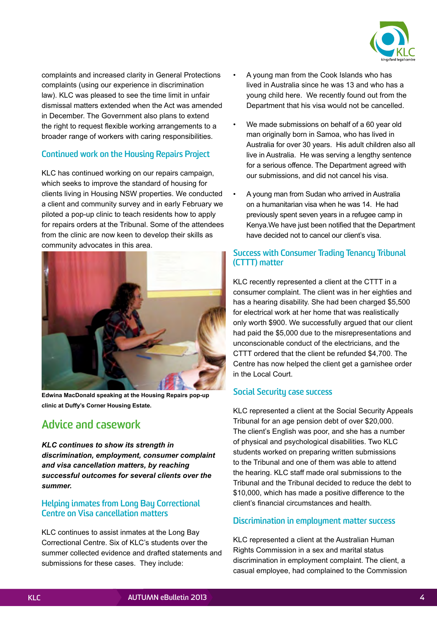

complaints and increased clarity in General Protections complaints (using our experience in discrimination law). KLC was pleased to see the time limit in unfair dismissal matters extended when the Act was amended in December. The Government also plans to extend the right to request flexible working arrangements to a broader range of workers with caring responsibilities.

### **Continued work on the Housing Repairs Project**

KLC has continued working on our repairs campaign, which seeks to improve the standard of housing for clients living in Housing NSW properties. We conducted a client and community survey and in early February we piloted a pop-up clinic to teach residents how to apply for repairs orders at the Tribunal. Some of the attendees from the clinic are now keen to develop their skills as community advocates in this area.



**Edwina MacDonald speaking at the Housing Repairs pop-up clinic at Duffy's Corner Housing Estate.**

### **Advice and casework**

*KLC continues to show its strength in discrimination, employment, consumer complaint and visa cancellation matters, by reaching successful outcomes for several clients over the summer.*

### **Helping inmates from Long Bay Correctional Centre on Visa cancellation matters**

KLC continues to assist inmates at the Long Bay Correctional Centre. Six of KLC's students over the summer collected evidence and drafted statements and submissions for these cases. They include:

- A young man from the Cook Islands who has lived in Australia since he was 13 and who has a young child here. We recently found out from the Department that his visa would not be cancelled.
- We made submissions on behalf of a 60 year old man originally born in Samoa, who has lived in Australia for over 30 years. His adult children also all live in Australia. He was serving a lengthy sentence for a serious offence. The Department agreed with our submissions, and did not cancel his visa.
- A young man from Sudan who arrived in Australia on a humanitarian visa when he was 14. He had previously spent seven years in a refugee camp in Kenya.We have just been notified that the Department have decided not to cancel our client's visa.

### **Success with Consumer Trading Tenancy Tribunal (CTTT) matter**

KLC recently represented a client at the CTTT in a consumer complaint. The client was in her eighties and has a hearing disability. She had been charged \$5,500 for electrical work at her home that was realistically only worth \$900. We successfully argued that our client had paid the \$5,000 due to the misrepresentations and unconscionable conduct of the electricians, and the CTTT ordered that the client be refunded \$4,700. The Centre has now helped the client get a garnishee order in the Local Court.

### **Social Security case success**

KLC represented a client at the Social Security Appeals Tribunal for an age pension debt of over \$20,000. The client's English was poor, and she has a number of physical and psychological disabilities. Two KLC students worked on preparing written submissions to the Tribunal and one of them was able to attend the hearing. KLC staff made oral submissions to the Tribunal and the Tribunal decided to reduce the debt to \$10,000, which has made a positive difference to the client's financial circumstances and health.

### **Discrimination in employment matter success**

KLC represented a client at the Australian Human Rights Commission in a sex and marital status discrimination in employment complaint. The client, a casual employee, had complained to the Commission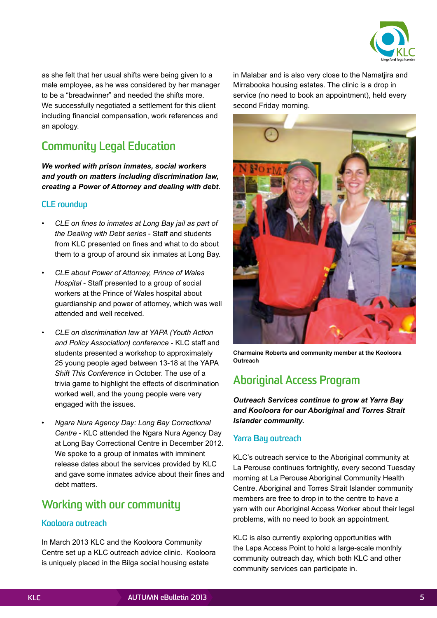

as she felt that her usual shifts were being given to a male employee, as he was considered by her manager to be a "breadwinner" and needed the shifts more. We successfully negotiated a settlement for this client including financial compensation, work references and an apology.

### **Community Legal Education**

*We worked with prison inmates, social workers and youth on matters including discrimination law, creating a Power of Attorney and dealing with debt.*

### **CLE roundup**

- *• CLE on fines to inmates at Long Bay jail as part of the Dealing with Debt series* - Staff and students from KLC presented on fines and what to do about them to a group of around six inmates at Long Bay.
- *• CLE about Power of Attorney, Prince of Wales Hospital* - Staff presented to a group of social workers at the Prince of Wales hospital about guardianship and power of attorney, which was well attended and well received.
- *• CLE on discrimination law at YAPA (Youth Action and Policy Association) conference* - KLC staff and students presented a workshop to approximately 25 young people aged between 13-18 at the YAPA *Shift This Conference* in October. The use of a trivia game to highlight the effects of discrimination worked well, and the young people were very engaged with the issues.
- *• Ngara Nura Agency Day: Long Bay Correctional Centre* - KLC attended the Ngara Nura Agency Day at Long Bay Correctional Centre in December 2012. We spoke to a group of inmates with imminent release dates about the services provided by KLC and gave some inmates advice about their fines and debt matters.

### **Working with our community**

### **Kooloora outreach**

In March 2013 KLC and the Kooloora Community Centre set up a KLC outreach advice clinic. Kooloora is uniquely placed in the Bilga social housing estate

in Malabar and is also very close to the Namatjira and Mirrabooka housing estates. The clinic is a drop in service (no need to book an appointment), held every second Friday morning.



**Charmaine Roberts and community member at the Kooloora Outreach**

### **Aboriginal Access Program**

*Outreach Services continue to grow at Yarra Bay and Kooloora for our Aboriginal and Torres Strait Islander community.*

### **Yarra Bay outreach**

KLC's outreach service to the Aboriginal community at La Perouse continues fortnightly, every second Tuesday morning at La Perouse Aboriginal Community Health Centre. Aboriginal and Torres Strait Islander community members are free to drop in to the centre to have a yarn with our Aboriginal Access Worker about their legal problems, with no need to book an appointment.

KLC is also currently exploring opportunities with the Lapa Access Point to hold a large-scale monthly community outreach day, which both KLC and other community services can participate in.